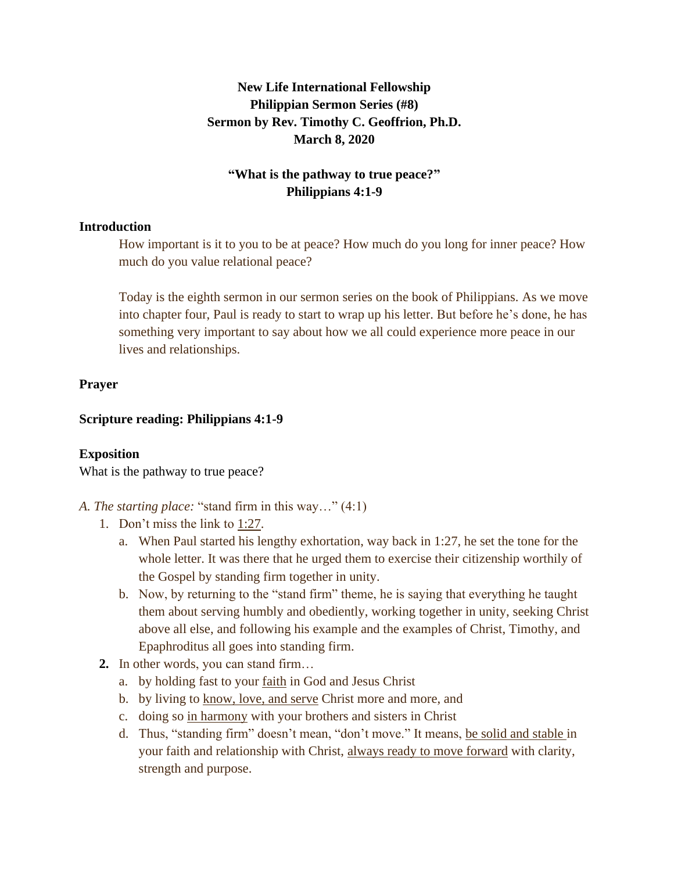# **New Life International Fellowship Philippian Sermon Series (#8) Sermon by Rev. Timothy C. Geoffrion, Ph.D. March 8, 2020**

### **"What is the pathway to true peace?" Philippians 4:1-9**

#### **Introduction**

How important is it to you to be at peace? How much do you long for inner peace? How much do you value relational peace?

Today is the eighth sermon in our sermon series on the book of Philippians. As we move into chapter four, Paul is ready to start to wrap up his letter. But before he's done, he has something very important to say about how we all could experience more peace in our lives and relationships.

### **Prayer**

### **Scripture reading: Philippians 4:1-9**

### **Exposition**

What is the pathway to true peace?

- *A. The starting place:* "stand firm in this way…" (4:1)
	- 1. Don't miss the link to 1:27.
		- a. When Paul started his lengthy exhortation, way back in 1:27, he set the tone for the whole letter. It was there that he urged them to exercise their citizenship worthily of the Gospel by standing firm together in unity.
		- b. Now, by returning to the "stand firm" theme, he is saying that everything he taught them about serving humbly and obediently, working together in unity, seeking Christ above all else, and following his example and the examples of Christ, Timothy, and Epaphroditus all goes into standing firm.
	- **2.** In other words, you can stand firm…
		- a. by holding fast to your faith in God and Jesus Christ
		- b. by living to know, love, and serve Christ more and more, and
		- c. doing so in harmony with your brothers and sisters in Christ
		- d. Thus, "standing firm" doesn't mean, "don't move." It means, be solid and stable in your faith and relationship with Christ, always ready to move forward with clarity, strength and purpose.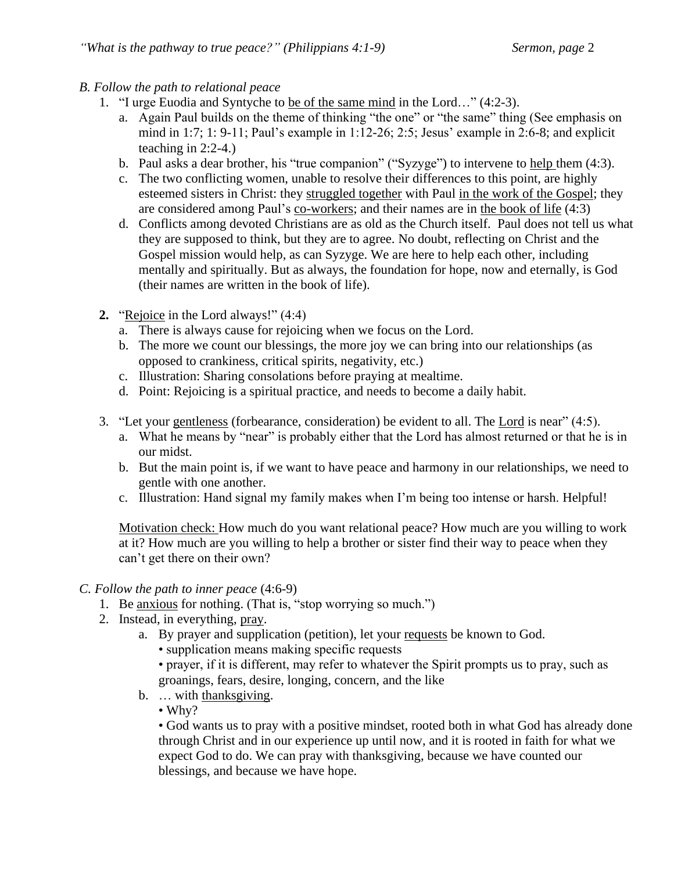- *B. Follow the path to relational peace*
	- 1. "I urge Euodia and Syntyche to be of the same mind in the Lord…" (4:2-3).
		- a. Again Paul builds on the theme of thinking "the one" or "the same" thing (See emphasis on mind in 1:7; 1: 9-11; Paul's example in 1:12-26; 2:5; Jesus' example in 2:6-8; and explicit teaching in 2:2-4.)
		- b. Paul asks a dear brother, his "true companion" ("Syzyge") to intervene to help them (4:3).
		- c. The two conflicting women, unable to resolve their differences to this point, are highly esteemed sisters in Christ: they struggled together with Paul in the work of the Gospel; they are considered among Paul's co-workers; and their names are in the book of life (4:3)
		- d. Conflicts among devoted Christians are as old as the Church itself. Paul does not tell us what they are supposed to think, but they are to agree. No doubt, reflecting on Christ and the Gospel mission would help, as can Syzyge. We are here to help each other, including mentally and spiritually. But as always, the foundation for hope, now and eternally, is God (their names are written in the book of life).
	- **2.** "Rejoice in the Lord always!" (4:4)
		- a. There is always cause for rejoicing when we focus on the Lord.
		- b. The more we count our blessings, the more joy we can bring into our relationships (as opposed to crankiness, critical spirits, negativity, etc.)
		- c. Illustration: Sharing consolations before praying at mealtime.
		- d. Point: Rejoicing is a spiritual practice, and needs to become a daily habit.
	- 3. "Let your gentleness (forbearance, consideration) be evident to all. The Lord is near" (4:5).
		- a. What he means by "near" is probably either that the Lord has almost returned or that he is in our midst.
		- b. But the main point is, if we want to have peace and harmony in our relationships, we need to gentle with one another.
		- c. Illustration: Hand signal my family makes when I'm being too intense or harsh. Helpful!

Motivation check: How much do you want relational peace? How much are you willing to work at it? How much are you willing to help a brother or sister find their way to peace when they can't get there on their own?

### *C. Follow the path to inner peace* (4:6-9)

- 1. Be anxious for nothing. (That is, "stop worrying so much.")
- 2. Instead, in everything, pray.
	- a. By prayer and supplication (petition), let your requests be known to God.
		- supplication means making specific requests
		- prayer, if it is different, may refer to whatever the Spirit prompts us to pray, such as groanings, fears, desire, longing, concern, and the like
	- b. … with thanksgiving.
		- Why?

• God wants us to pray with a positive mindset, rooted both in what God has already done through Christ and in our experience up until now, and it is rooted in faith for what we expect God to do. We can pray with thanksgiving, because we have counted our blessings, and because we have hope.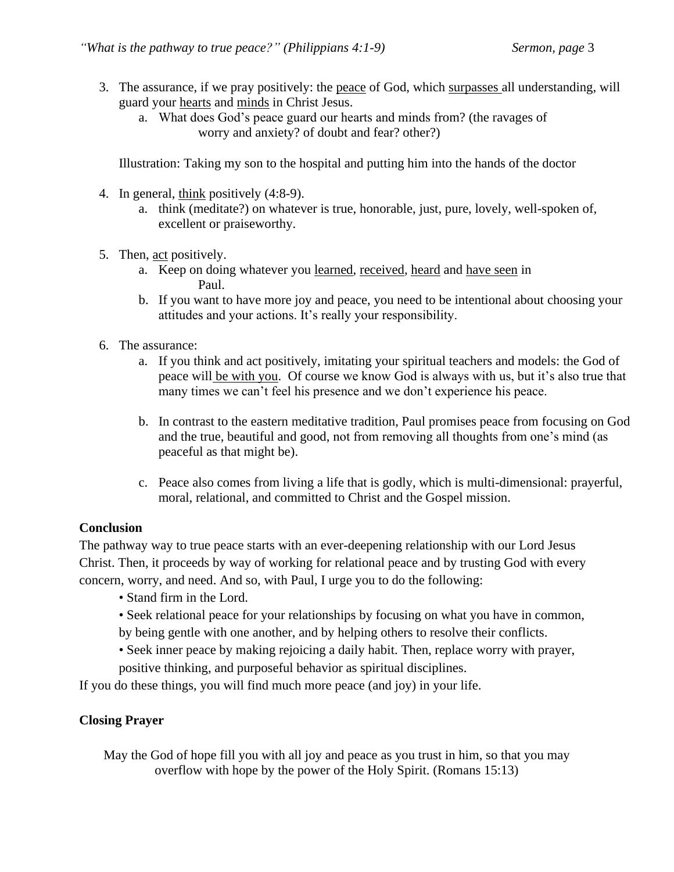- 3. The assurance, if we pray positively: the peace of God, which surpasses all understanding, will guard your hearts and minds in Christ Jesus.
	- a. What does God's peace guard our hearts and minds from? (the ravages of worry and anxiety? of doubt and fear? other?)

Illustration: Taking my son to the hospital and putting him into the hands of the doctor

- 4. In general, think positively (4:8-9).
	- a. think (meditate?) on whatever is true, honorable, just, pure, lovely, well-spoken of, excellent or praiseworthy.
- 5. Then, act positively.
	- a. Keep on doing whatever you learned, received, heard and have seen in Paul.
	- b. If you want to have more joy and peace, you need to be intentional about choosing your attitudes and your actions. It's really your responsibility.
- 6. The assurance:
	- a. If you think and act positively, imitating your spiritual teachers and models: the God of peace will be with you. Of course we know God is always with us, but it's also true that many times we can't feel his presence and we don't experience his peace.
	- b. In contrast to the eastern meditative tradition, Paul promises peace from focusing on God and the true, beautiful and good, not from removing all thoughts from one's mind (as peaceful as that might be).
	- c. Peace also comes from living a life that is godly, which is multi-dimensional: prayerful, moral, relational, and committed to Christ and the Gospel mission.

### **Conclusion**

The pathway way to true peace starts with an ever-deepening relationship with our Lord Jesus Christ. Then, it proceeds by way of working for relational peace and by trusting God with every concern, worry, and need. And so, with Paul, I urge you to do the following:

- Stand firm in the Lord.
- Seek relational peace for your relationships by focusing on what you have in common,
- by being gentle with one another, and by helping others to resolve their conflicts.
- Seek inner peace by making rejoicing a daily habit. Then, replace worry with prayer,
- positive thinking, and purposeful behavior as spiritual disciplines.

If you do these things, you will find much more peace (and joy) in your life.

### **Closing Prayer**

May the God of hope fill you with all joy and peace as you trust in him, so that you may overflow with hope by the power of the Holy Spirit. (Romans 15:13)